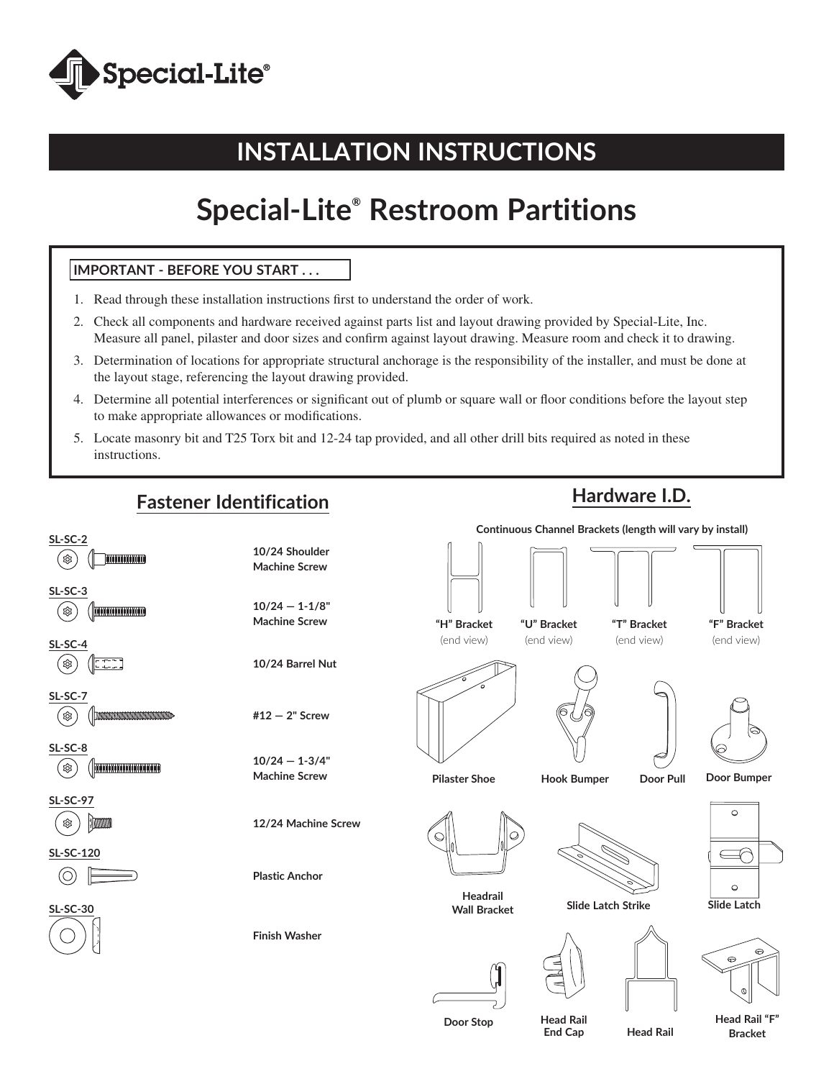

# **INSTALLATION INSTRUCTIONS**

# **Special-Lite® Restroom Partitions**

### **IMPORTANT - BEFORE YOU START . . .**

- 1. Read through these installation instructions first to understand the order of work.
- 2. Check all components and hardware received against parts list and layout drawing provided by Special-Lite, Inc. Measure all panel, pilaster and door sizes and confirm against layout drawing. Measure room and check it to drawing.
- 3. Determination of locations for appropriate structural anchorage is the responsibility of the installer, and must be done at the layout stage, referencing the layout drawing provided.
- 4. Determine all potential interferences or significant out of plumb or square wall or floor conditions before the layout step to make appropriate allowances or modifications.
- 5. Locate masonry bit and T25 Torx bit and 12-24 tap provided, and all other drill bits required as noted in these instructions.

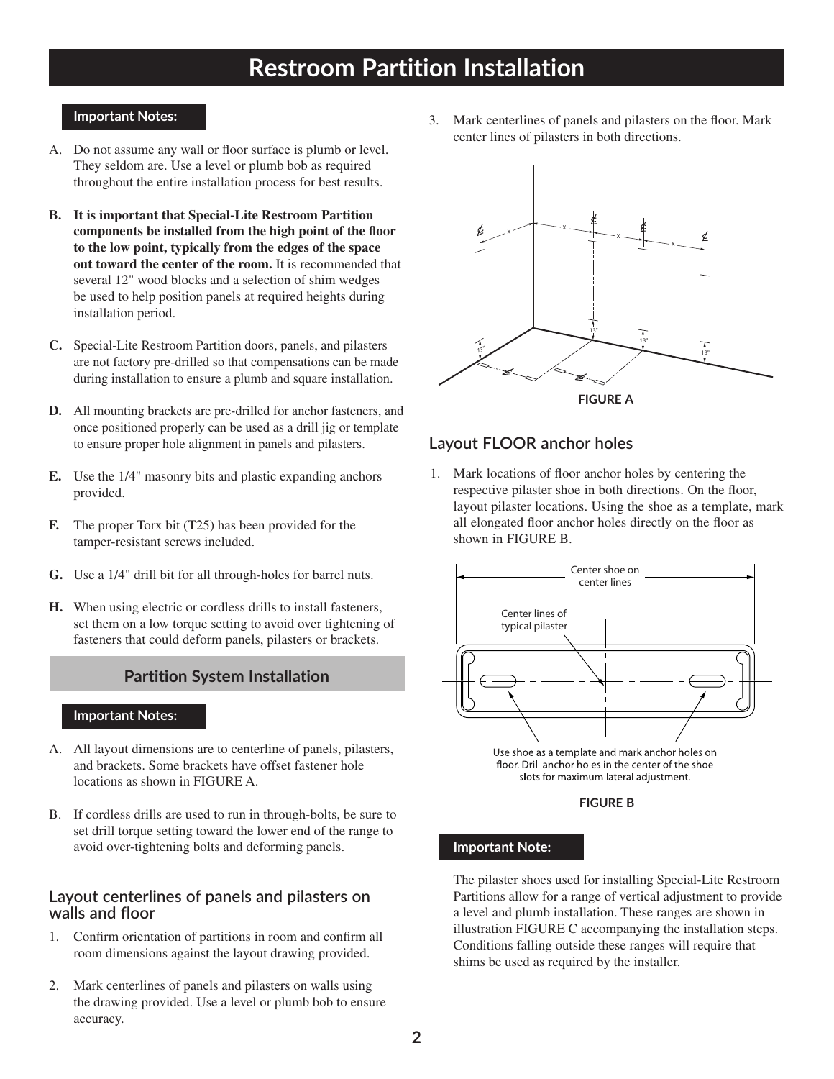### **Important Notes:**

- A. Do not assume any wall or floor surface is plumb or level. They seldom are. Use a level or plumb bob as required throughout the entire installation process for best results.
- **B. It is important that Special-Lite Restroom Partition components be installed from the high point of the floor to the low point, typically from the edges of the space out toward the center of the room.** It is recommended that several 12" wood blocks and a selection of shim wedges be used to help position panels at required heights during installation period.
- **C.** Special-Lite Restroom Partition doors, panels, and pilasters are not factory pre-drilled so that compensations can be made during installation to ensure a plumb and square installation.
- **D.** All mounting brackets are pre-drilled for anchor fasteners, and once positioned properly can be used as a drill jig or template to ensure proper hole alignment in panels and pilasters.
- **E.** Use the 1/4" masonry bits and plastic expanding anchors provided.
- **F.** The proper Torx bit (T25) has been provided for the tamper-resistant screws included.
- **G.** Use a 1/4" drill bit for all through-holes for barrel nuts.
- **H.** When using electric or cordless drills to install fasteners, set them on a low torque setting to avoid over tightening of fasteners that could deform panels, pilasters or brackets.

### **Partition System Installation**

### **Important Notes:**

- A. All layout dimensions are to centerline of panels, pilasters, and brackets. Some brackets have offset fastener hole locations as shown in FIGURE A.
- B. If cordless drills are used to run in through-bolts, be sure to set drill torque setting toward the lower end of the range to avoid over-tightening bolts and deforming panels.

### **Layout centerlines of panels and pilasters on walls and floor**

- 1. Confirm orientation of partitions in room and confirm all room dimensions against the layout drawing provided.
- 2. Mark centerlines of panels and pilasters on walls using the drawing provided. Use a level or plumb bob to ensure accuracy.

3. Mark centerlines of panels and pilasters on the floor. Mark center lines of pilasters in both directions.



### **Layout FLOOR anchor holes**

1. Mark locations of floor anchor holes by centering the respective pilaster shoe in both directions. On the floor, layout pilaster locations. Using the shoe as a template, mark all elongated floor anchor holes directly on the floor as shown in FIGURE B.



floor. Drill anchor holes in the center of the shoe slots for maximum lateral adjustment.

#### **FIGURE B**

### **Important Note:**

The pilaster shoes used for installing Special-Lite Restroom Partitions allow for a range of vertical adjustment to provide a level and plumb installation. These ranges are shown in illustration FIGURE C accompanying the installation steps. Conditions falling outside these ranges will require that shims be used as required by the installer.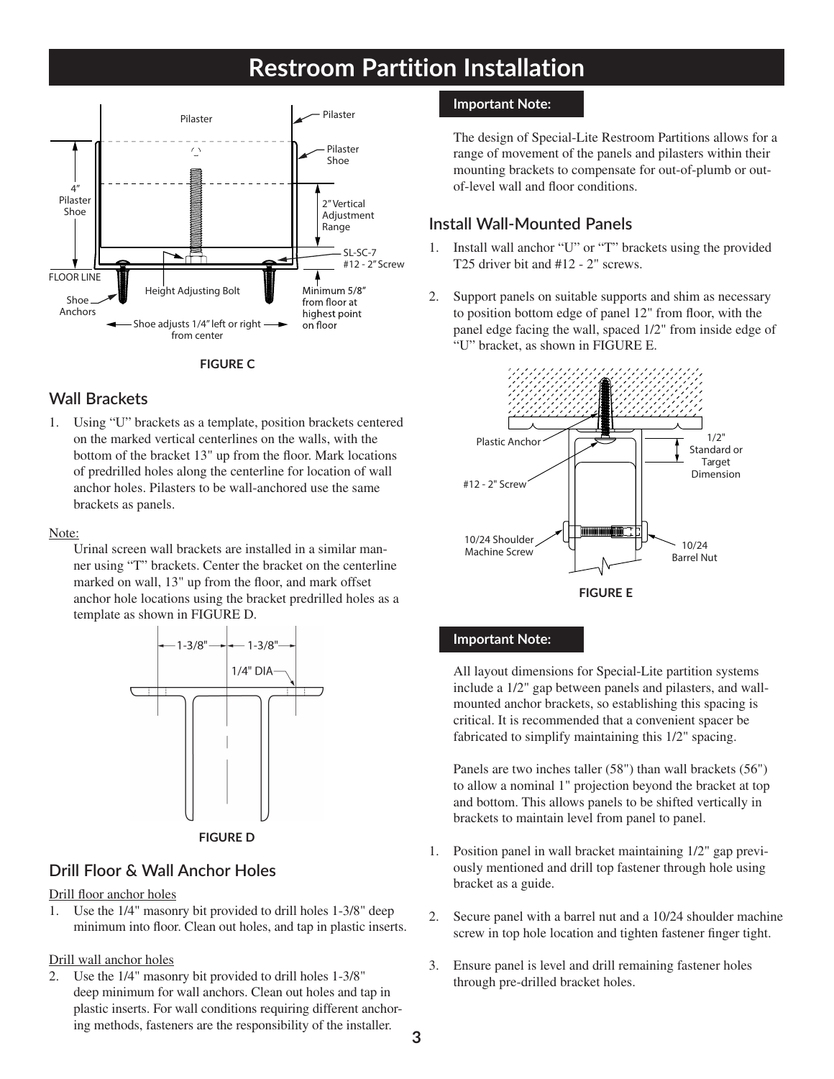

**FIGURE C**

# **Wall Brackets**

1. Using "U" brackets as a template, position brackets centered on the marked vertical centerlines on the walls, with the bottom of the bracket 13" up from the floor. Mark locations of predrilled holes along the centerline for location of wall anchor holes. Pilasters to be wall-anchored use the same brackets as panels.

### Note:

Urinal screen wall brackets are installed in a similar manner using "T" brackets. Center the bracket on the centerline marked on wall, 13" up from the floor, and mark offset anchor hole locations using the bracket predrilled holes as a template as shown in FIGURE D.



# **Drill Floor & Wall Anchor Holes**

### Drill floor anchor holes

1. Use the 1/4" masonry bit provided to drill holes 1-3/8" deep minimum into floor. Clean out holes, and tap in plastic inserts.

### Drill wall anchor holes

2. Use the 1/4" masonry bit provided to drill holes 1-3/8" deep minimum for wall anchors. Clean out holes and tap in plastic inserts. For wall conditions requiring different anchoring methods, fasteners are the responsibility of the installer.

### **Important Note:**

The design of Special-Lite Restroom Partitions allows for a range of movement of the panels and pilasters within their mounting brackets to compensate for out-of-plumb or outof-level wall and floor conditions.

### **Install Wall-Mounted Panels**

- 1. Install wall anchor "U" or "T" brackets using the provided T25 driver bit and #12 - 2" screws.
- 2. Support panels on suitable supports and shim as necessary to position bottom edge of panel 12" from floor, with the panel edge facing the wall, spaced 1/2" from inside edge of "U" bracket, as shown in FIGURE E.



### **Important Note:**

I

All layout dimensions for Special-Lite partition systems include a 1/2" gap between panels and pilasters, and wallmounted anchor brackets, so establishing this spacing is critical. It is recommended that a convenient spacer be fabricated to simplify maintaining this 1/2" spacing.

Panels are two inches taller (58") than wall brackets (56") to allow a nominal 1" projection beyond the bracket at top and bottom. This allows panels to be shifted vertically in brackets to maintain level from panel to panel.

- 1. Position panel in wall bracket maintaining 1/2" gap previously mentioned and drill top fastener through hole using bracket as a guide.
- 2. Secure panel with a barrel nut and a 10/24 shoulder machine screw in top hole location and tighten fastener finger tight.
- 3. Ensure panel is level and drill remaining fastener holes through pre-drilled bracket holes.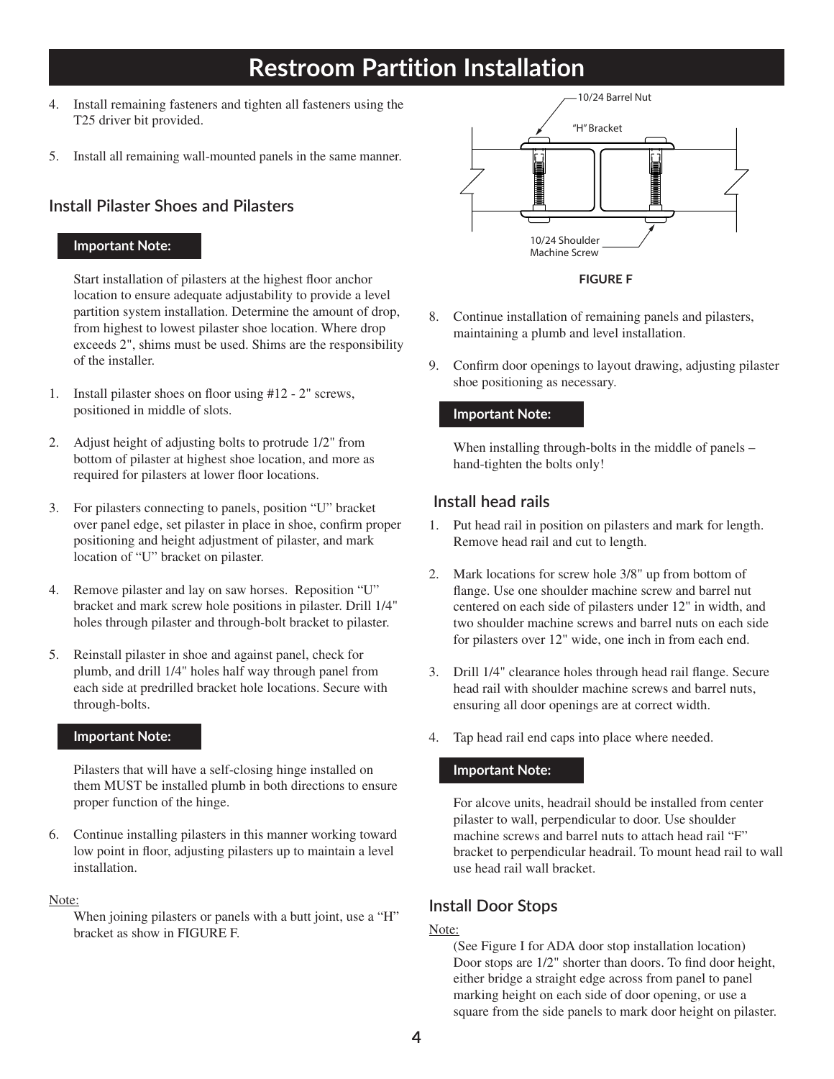- 4. Install remaining fasteners and tighten all fasteners using the T25 driver bit provided.
- 5. Install all remaining wall-mounted panels in the same manner.

### **Install Pilaster Shoes and Pilasters**

### **Important Note:**

Start installation of pilasters at the highest floor anchor location to ensure adequate adjustability to provide a level partition system installation. Determine the amount of drop, from highest to lowest pilaster shoe location. Where drop exceeds 2", shims must be used. Shims are the responsibility of the installer.

- 1. Install pilaster shoes on floor using #12 2" screws, positioned in middle of slots.
- 2. Adjust height of adjusting bolts to protrude 1/2" from bottom of pilaster at highest shoe location, and more as required for pilasters at lower floor locations.
- 3. For pilasters connecting to panels, position "U" bracket over panel edge, set pilaster in place in shoe, confirm proper positioning and height adjustment of pilaster, and mark location of "U" bracket on pilaster.
- 4. Remove pilaster and lay on saw horses. Reposition "U" bracket and mark screw hole positions in pilaster. Drill 1/4" holes through pilaster and through-bolt bracket to pilaster.
- 5. Reinstall pilaster in shoe and against panel, check for plumb, and drill 1/4" holes half way through panel from each side at predrilled bracket hole locations. Secure with through-bolts.

### **Important Note:**

Pilasters that will have a self-closing hinge installed on them MUST be installed plumb in both directions to ensure proper function of the hinge.

6. Continue installing pilasters in this manner working toward low point in floor, adjusting pilasters up to maintain a level installation.

### Note:

When joining pilasters or panels with a butt joint, use a "H" bracket as show in FIGURE F.



**FIGURE F**

- 8. Continue installation of remaining panels and pilasters, maintaining a plumb and level installation.
- 9. Confirm door openings to layout drawing, adjusting pilaster shoe positioning as necessary.

### **Important Note:**

When installing through-bolts in the middle of panels – hand-tighten the bolts only!

### **Install head rails**

- 1. Put head rail in position on pilasters and mark for length. Remove head rail and cut to length.
- 2. Mark locations for screw hole 3/8" up from bottom of flange. Use one shoulder machine screw and barrel nut centered on each side of pilasters under 12" in width, and two shoulder machine screws and barrel nuts on each side for pilasters over 12" wide, one inch in from each end.
- 3. Drill 1/4" clearance holes through head rail flange. Secure head rail with shoulder machine screws and barrel nuts, ensuring all door openings are at correct width.
- 4. Tap head rail end caps into place where needed.

### **Important Note:**

For alcove units, headrail should be installed from center pilaster to wall, perpendicular to door. Use shoulder machine screws and barrel nuts to attach head rail "F" bracket to perpendicular headrail. To mount head rail to wall use head rail wall bracket.

### **Install Door Stops**

### Note:

(See Figure I for ADA door stop installation location) Door stops are 1/2" shorter than doors. To find door height, either bridge a straight edge across from panel to panel marking height on each side of door opening, or use a square from the side panels to mark door height on pilaster.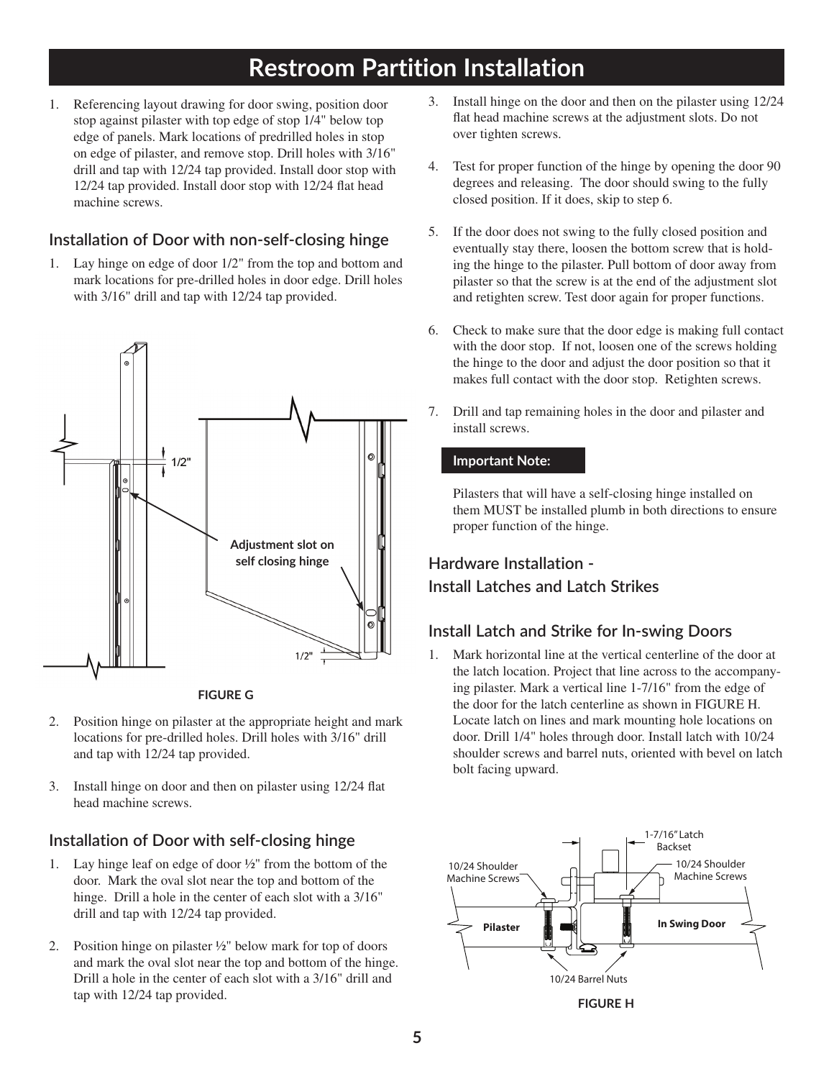1. Referencing layout drawing for door swing, position door stop against pilaster with top edge of stop 1/4" below top edge of panels. Mark locations of predrilled holes in stop on edge of pilaster, and remove stop. Drill holes with 3/16" drill and tap with 12/24 tap provided. Install door stop with 12/24 tap provided. Install door stop with 12/24 flat head machine screws.

# **Installation of Door with non-self-closing hinge**

1. Lay hinge on edge of door 1/2" from the top and bottom and mark locations for pre-drilled holes in door edge. Drill holes with 3/16" drill and tap with 12/24 tap provided.





- 2. Position hinge on pilaster at the appropriate height and mark locations for pre-drilled holes. Drill holes with 3/16" drill and tap with 12/24 tap provided.
- 3. Install hinge on door and then on pilaster using 12/24 flat head machine screws.

# **Installation of Door with self-closing hinge**

- 1. Lay hinge leaf on edge of door  $\frac{1}{2}$ " from the bottom of the door. Mark the oval slot near the top and bottom of the hinge. Drill a hole in the center of each slot with a  $3/16$ " drill and tap with 12/24 tap provided.
- 2. Position hinge on pilaster ½" below mark for top of doors and mark the oval slot near the top and bottom of the hinge. Drill a hole in the center of each slot with a 3/16" drill and tap with 12/24 tap provided.
- 3. Install hinge on the door and then on the pilaster using 12/24 flat head machine screws at the adjustment slots. Do not over tighten screws.
- 4. Test for proper function of the hinge by opening the door 90 degrees and releasing. The door should swing to the fully closed position. If it does, skip to step 6.
- 5. If the door does not swing to the fully closed position and eventually stay there, loosen the bottom screw that is holding the hinge to the pilaster. Pull bottom of door away from pilaster so that the screw is at the end of the adjustment slot and retighten screw. Test door again for proper functions.
- 6. Check to make sure that the door edge is making full contact with the door stop. If not, loosen one of the screws holding the hinge to the door and adjust the door position so that it makes full contact with the door stop. Retighten screws.
- 7. Drill and tap remaining holes in the door and pilaster and install screws.

### **Important Note:**

Pilasters that will have a self-closing hinge installed on them MUST be installed plumb in both directions to ensure proper function of the hinge.

# **Hardware Installation - Install Latches and Latch Strikes**

# **Install Latch and Strike for In-swing Doors**

1. Mark horizontal line at the vertical centerline of the door at the latch location. Project that line across to the accompanying pilaster. Mark a vertical line 1-7/16" from the edge of the door for the latch centerline as shown in FIGURE H. Locate latch on lines and mark mounting hole locations on door. Drill 1/4" holes through door. Install latch with 10/24 shoulder screws and barrel nuts, oriented with bevel on latch bolt facing upward.